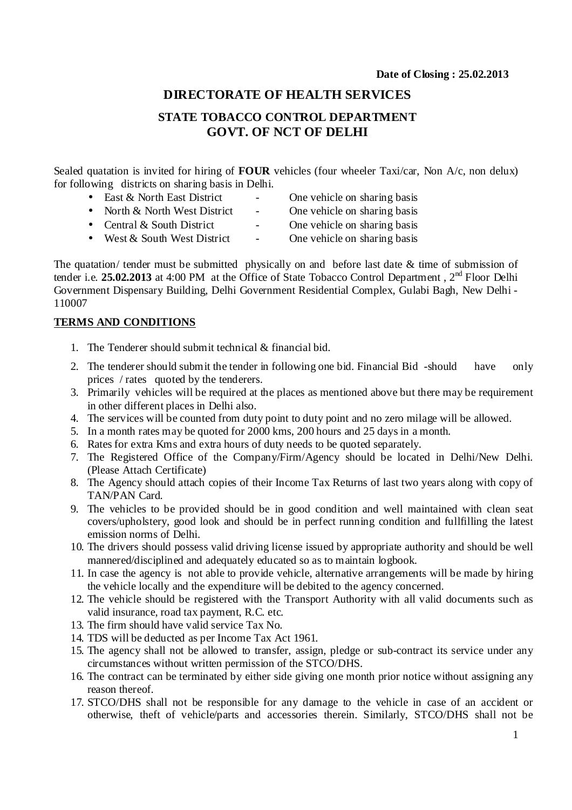# **DIRECTORATE OF HEALTH SERVICES**

# **STATE TOBACCO CONTROL DEPARTMENT GOVT. OF NCT OF DELHI**

Sealed quatation is invited for hiring of **FOUR** vehicles (four wheeler Taxi/car, Non A/c, non delux) for following districts on sharing basis in Delhi.

- East & North East District One vehicle on sharing basis
	-
- North & North West District One vehicle on sharing basis
	-
- Central & South District One vehicle on sharing basis
- West  $&$  South West District One vehicle on sharing basis

The quatation/ tender must be submitted physically on and before last date  $\&$  time of submission of tender i.e. **25.02.2013** at 4:00 PM at the Office of State Tobacco Control Department , 2nd Floor Delhi Government Dispensary Building, Delhi Government Residential Complex, Gulabi Bagh, New Delhi - 110007

### **TERMS AND CONDITIONS**

- 1. The Tenderer should submit technical & financial bid.
- 2. The tenderer should submit the tender in following one bid. Financial Bid -should have only prices / rates quoted by the tenderers.
- 3. Primarily vehicles will be required at the places as mentioned above but there may be requirement in other different places in Delhi also.
- 4. The services will be counted from duty point to duty point and no zero milage will be allowed.
- 5. In a month rates may be quoted for 2000 kms, 200 hours and 25 days in a month.
- 6. Rates for extra Kms and extra hours of duty needs to be quoted separately.
- 7. The Registered Office of the Company/Firm/Agency should be located in Delhi/New Delhi. (Please Attach Certificate)
- 8. The Agency should attach copies of their Income Tax Returns of last two years along with copy of TAN/PAN Card.
- 9. The vehicles to be provided should be in good condition and well maintained with clean seat covers/upholstery, good look and should be in perfect running condition and fullfilling the latest emission norms of Delhi.
- 10. The drivers should possess valid driving license issued by appropriate authority and should be well mannered/disciplined and adequately educated so as to maintain logbook.
- 11. In case the agency is not able to provide vehicle, alternative arrangements will be made by hiring the vehicle locally and the expenditure will be debited to the agency concerned.
- 12. The vehicle should be registered with the Transport Authority with all valid documents such as valid insurance, road tax payment, R.C. etc.
- 13. The firm should have valid service Tax No.
- 14. TDS will be deducted as per Income Tax Act 1961.
- 15. The agency shall not be allowed to transfer, assign, pledge or sub-contract its service under any circumstances without written permission of the STCO/DHS.
- 16. The contract can be terminated by either side giving one month prior notice without assigning any reason thereof.
- 17. STCO/DHS shall not be responsible for any damage to the vehicle in case of an accident or otherwise, theft of vehicle/parts and accessories therein. Similarly, STCO/DHS shall not be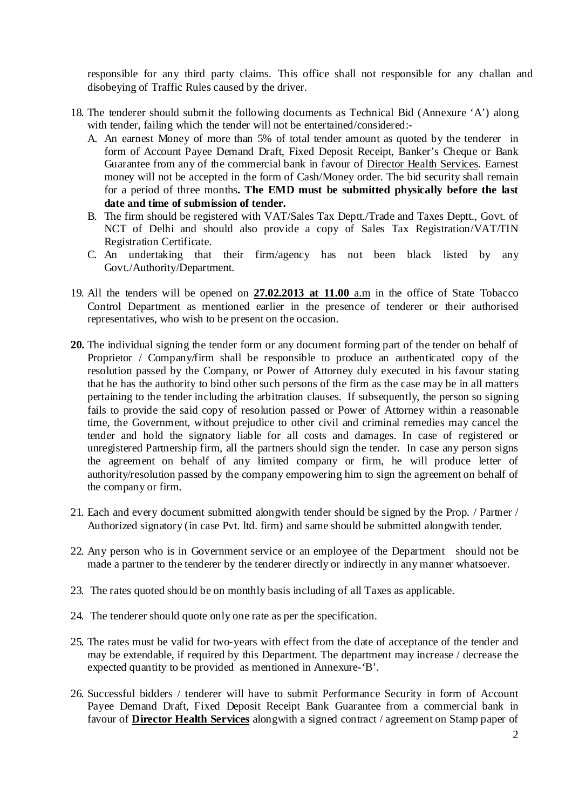responsible for any third party claims. This office shall not responsible for any challan and disobeying of Traffic Rules caused by the driver.

- 18. The tenderer should submit the following documents as Technical Bid (Annexure 'A') along with tender, failing which the tender will not be entertained/considered:-
	- A. An earnest Money of more than 5% of total tender amount as quoted by the tenderer in form of Account Payee Demand Draft, Fixed Deposit Receipt, Banker's Cheque or Bank Guarantee from any of the commercial bank in favour of Director Health Services. Earnest money will not be accepted in the form of Cash/Money order. The bid security shall remain for a period of three months**. The EMD must be submitted physically before the last date and time of submission of tender.**
	- B. The firm should be registered with VAT/Sales Tax Deptt./Trade and Taxes Deptt., Govt. of NCT of Delhi and should also provide a copy of Sales Tax Registration/VAT/TIN Registration Certificate.
	- C. An undertaking that their firm/agency has not been black listed by any Govt./Authority/Department.
- 19. All the tenders will be opened on **27.02.2013 at 11.00** a.m in the office of State Tobacco Control Department as mentioned earlier in the presence of tenderer or their authorised representatives, who wish to be present on the occasion.
- **20.** The individual signing the tender form or any document forming part of the tender on behalf of Proprietor / Company/firm shall be responsible to produce an authenticated copy of the resolution passed by the Company, or Power of Attorney duly executed in his favour stating that he has the authority to bind other such persons of the firm as the case may be in all matters pertaining to the tender including the arbitration clauses. If subsequently, the person so signing fails to provide the said copy of resolution passed or Power of Attorney within a reasonable time, the Government, without prejudice to other civil and criminal remedies may cancel the tender and hold the signatory liable for all costs and damages. In case of registered or unregistered Partnership firm, all the partners should sign the tender. In case any person signs the agreement on behalf of any limited company or firm, he will produce letter of authority/resolution passed by the company empowering him to sign the agreement on behalf of the company or firm.
- 21. Each and every document submitted alongwith tender should be signed by the Prop. / Partner / Authorized signatory (in case Pvt. ltd. firm) and same should be submitted alongwith tender.
- 22. Any person who is in Government service or an employee of the Department should not be made a partner to the tenderer by the tenderer directly or indirectly in any manner whatsoever.
- 23. The rates quoted should be on monthly basis including of all Taxes as applicable.
- 24. The tenderer should quote only one rate as per the specification.
- 25. The rates must be valid for two-years with effect from the date of acceptance of the tender and may be extendable, if required by this Department. The department may increase / decrease the expected quantity to be provided as mentioned in Annexure-'B'.
- 26. Successful bidders / tenderer will have to submit Performance Security in form of Account Payee Demand Draft, Fixed Deposit Receipt Bank Guarantee from a commercial bank in favour of **Director Health Services** alongwith a signed contract / agreement on Stamp paper of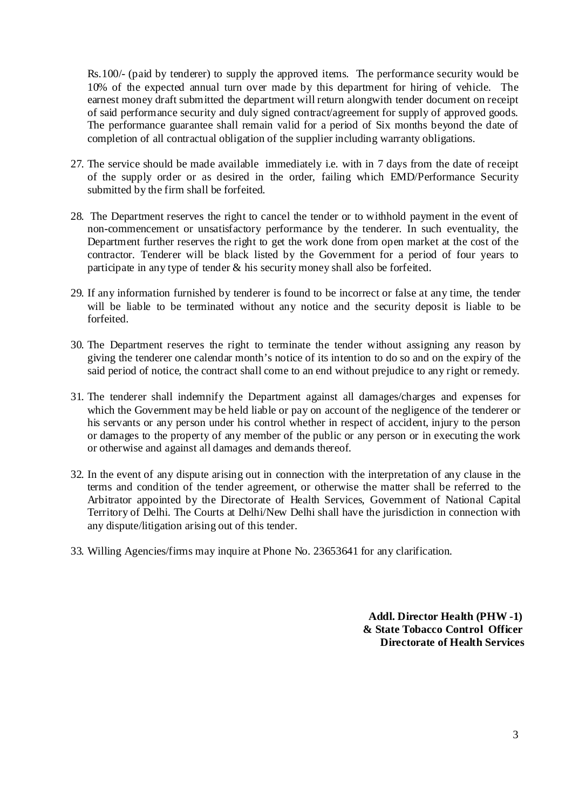Rs.100/- (paid by tenderer) to supply the approved items. The performance security would be 10% of the expected annual turn over made by this department for hiring of vehicle. The earnest money draft submitted the department will return alongwith tender document on receipt of said performance security and duly signed contract/agreement for supply of approved goods. The performance guarantee shall remain valid for a period of Six months beyond the date of completion of all contractual obligation of the supplier including warranty obligations.

- 27. The service should be made available immediately i.e. with in 7 days from the date of receipt of the supply order or as desired in the order, failing which EMD/Performance Security submitted by the firm shall be forfeited.
- 28. The Department reserves the right to cancel the tender or to withhold payment in the event of non-commencement or unsatisfactory performance by the tenderer. In such eventuality, the Department further reserves the right to get the work done from open market at the cost of the contractor. Tenderer will be black listed by the Government for a period of four years to participate in any type of tender & his security money shall also be forfeited.
- 29. If any information furnished by tenderer is found to be incorrect or false at any time, the tender will be liable to be terminated without any notice and the security deposit is liable to be forfeited.
- 30. The Department reserves the right to terminate the tender without assigning any reason by giving the tenderer one calendar month's notice of its intention to do so and on the expiry of the said period of notice, the contract shall come to an end without prejudice to any right or remedy.
- 31. The tenderer shall indemnify the Department against all damages/charges and expenses for which the Government may be held liable or pay on account of the negligence of the tenderer or his servants or any person under his control whether in respect of accident, injury to the person or damages to the property of any member of the public or any person or in executing the work or otherwise and against all damages and demands thereof.
- 32. In the event of any dispute arising out in connection with the interpretation of any clause in the terms and condition of the tender agreement, or otherwise the matter shall be referred to the Arbitrator appointed by the Directorate of Health Services, Government of National Capital Territory of Delhi. The Courts at Delhi/New Delhi shall have the jurisdiction in connection with any dispute/litigation arising out of this tender.
- 33. Willing Agencies/firms may inquire at Phone No. 23653641 for any clarification.

**Addl. Director Health (PHW -1) & State Tobacco Control Officer Directorate of Health Services**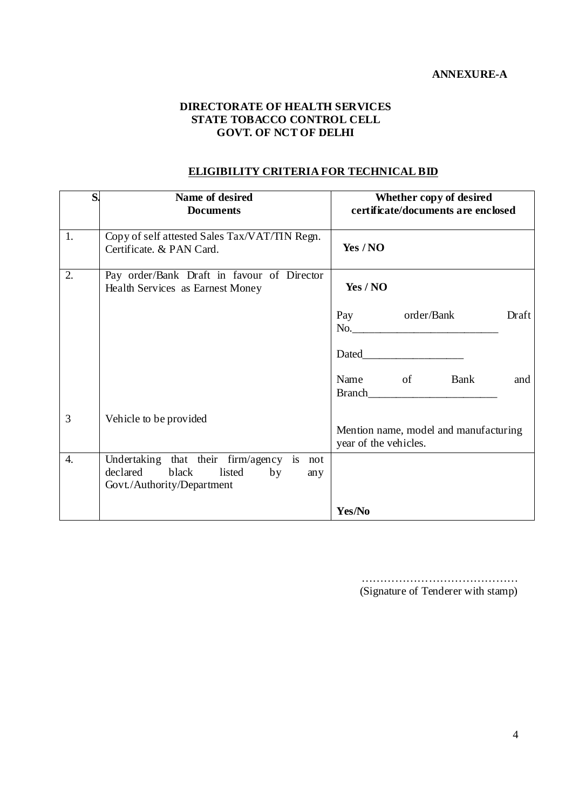#### **DIRECTORATE OF HEALTH SERVICES STATE TOBACCO CONTROL CELL GOVT. OF NCT OF DELHI**

# **ELIGIBILITY CRITERIA FOR TECHNICAL BID**

| S.               | Name of desired<br><b>Documents</b>                                                                                 | Whether copy of desired<br>certificate/documents are enclosed                                                                                                                                                                 |  |  |
|------------------|---------------------------------------------------------------------------------------------------------------------|-------------------------------------------------------------------------------------------------------------------------------------------------------------------------------------------------------------------------------|--|--|
| 1.               | Copy of self attested Sales Tax/VAT/TIN Regn.<br>Certificate. & PAN Card.                                           | Yes / NO                                                                                                                                                                                                                      |  |  |
| $\overline{2}$ . | Pay order/Bank Draft in favour of Director<br>Health Services as Earnest Money                                      | Yes / NO                                                                                                                                                                                                                      |  |  |
|                  |                                                                                                                     | order/Bank<br>Pay<br>Draft                                                                                                                                                                                                    |  |  |
|                  |                                                                                                                     | Dated and the state of the state of the state of the state of the state of the state of the state of the state of the state of the state of the state of the state of the state of the state of the state of the state of the |  |  |
|                  |                                                                                                                     | Name of Bank<br>and                                                                                                                                                                                                           |  |  |
| 3                | Vehicle to be provided                                                                                              | Mention name, model and manufacturing<br>year of the vehicles.                                                                                                                                                                |  |  |
| $\overline{4}$ . | Undertaking that their firm/agency is not<br>declared<br>black<br>listed<br>by<br>any<br>Govt./Authority/Department |                                                                                                                                                                                                                               |  |  |
|                  |                                                                                                                     | Yes/No                                                                                                                                                                                                                        |  |  |

…………………………………… (Signature of Tenderer with stamp)